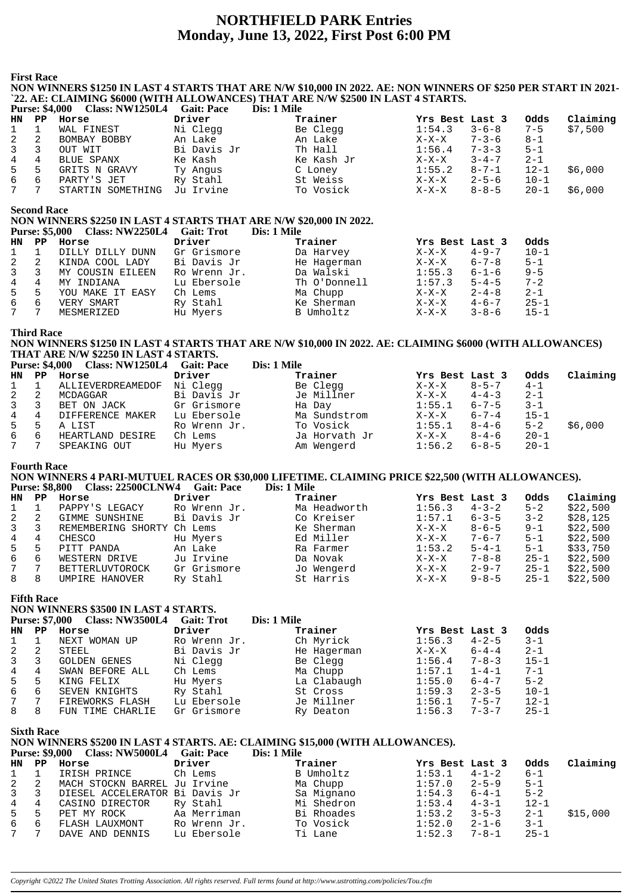# **NORTHFIELD PARK Entries** Monday, June 13, 2022, First Post 6:00 PM

**First Race** 

NON WINNERS \$1250 IN LAST 4 STARTS THAT ARE N/W \$10,000 IN 2022. AE: NON WINNERS OF \$250 PER START IN 2021-`22. AE: CLAIMING \$6000 (WITH ALLOWANCES) THAT ARE N/W \$2500 IN LAST 4 STARTS. Purse: \$4,000 Class: NW1250L4 Gait: Pace  $\sum_{i=1}^{n}$ Dis $\cdot$  1 Mile

|             |   | $1000 \cdot 1000$ $000 \cdot 1111$ | <b>DIS. 1 BIR</b> |            |                 |             |          |          |
|-------------|---|------------------------------------|-------------------|------------|-----------------|-------------|----------|----------|
| HN PP       |   | Horse                              | Driver            | Trainer    | Yrs Best Last 3 |             | Odds     | Claiming |
| 1           |   | WAL FINEST                         | Ni Clegg          | Be Clegg   | 1:54.3          | $3 - 6 - 8$ | $7 - 5$  | \$7,500  |
| 2           | 2 | BOMBAY BOBBY                       | An Lake           | An Lake    | $X-X-X$         | $7 - 3 - 6$ | 8-1      |          |
| $3 \quad 3$ |   | OUT WIT                            | Bi Davis Jr       | Th Hall    | 1:56.4          | $7 - 3 - 3$ | $5 - 1$  |          |
| 4 4         |   | BLUE SPANX                         | Ke Kash           | Ke Kash Jr | X-X-X           | $3 - 4 - 7$ | $2 - 1$  |          |
| 5 5         |   | GRITS N GRAVY                      | Ty Angus          | C Loney    | 1:55.2          | $8 - 7 - 1$ | $12 - 1$ | \$6,000  |
| 66          |   | PARTY'S JET                        | Ry Stahl          | St Weiss   | X-X-X           | $2 - 5 - 6$ | $10 - 1$ |          |
| 7 7         |   | STARTIN SOMETHING                  | Ju Irvine         | To Vosick  | X-X-X           | $8 - 8 - 5$ | $20 - 1$ | \$6,000  |

**Second Race** 

NON WINNERS \$2250 IN LAST 4 STARTS THAT ARE N/W \$20,000 IN 2022.

|              |    | Purse: $$5,000$ Class: $NW2250L4$ | Gait: Trot   | Dis: 1 Mile  |                 |             |          |
|--------------|----|-----------------------------------|--------------|--------------|-----------------|-------------|----------|
| HN PP        |    | Horse                             | Driver       | Trainer      | Yrs Best Last 3 |             | Odds     |
| $\mathbf{1}$ |    | DILLY DILLY DUNN                  | Gr Grismore  | Da Harvey    | $X-X-X$         | $4 - 9 - 7$ | $10 - 1$ |
| 2            |    | KINDA COOL LADY                   | Bi Davis Jr  | He Hagerman  | $X-X-X$         | $6 - 7 - 8$ | $5 - 1$  |
| $\mathbf{3}$ | 3  | MY COUSIN EILEEN                  | Ro Wrenn Jr. | Da Walski    | 1:55.3          | $6 - 1 - 6$ | $9 - 5$  |
| 4            | 4  | MY INDIANA                        | Lu Ebersole  | Th O'Donnell | 1:57.3          | $5 - 4 - 5$ | $7 - 2$  |
| 5            | -5 | YOU MAKE IT EASY                  | Ch Lems      | Ma Chupp     | $X-X-X$         | $2 - 4 - 8$ | $2 - 1$  |
| 6            | 6  | VERY SMART                        | Ry Stahl     | Ke Sherman   | $X-X-X$         | $4 - 6 - 7$ | $25 - 1$ |
| 7            |    | MESMERIZED                        | Hu Myers     | B Umholtz    | $X-X-X$         | $3 - 8 - 6$ | $15 - 1$ |

#### **Third Race**

NON WINNERS \$1250 IN LAST 4 STARTS THAT ARE N/W \$10,000 IN 2022. AE: CLAIMING \$6000 (WITH ALLOWANCES) THAT ARE N/W \$2250 IN LAST 4 STARTS.

|              | <b>Purse: \$4,000</b> | Class: NW1250L4 Gait: Pace |              | Dis: 1 Mile   |                 |             |          |          |
|--------------|-----------------------|----------------------------|--------------|---------------|-----------------|-------------|----------|----------|
| HN PP        |                       | Horse                      | Driver       | Trainer       | Yrs Best Last 3 |             | Odds     | Claiming |
| $\mathbf{1}$ |                       | ALLIEVERDREAMEDOF          | Ni Clegg     | Be Clegg      | $X-X-X$         | $8 - 5 - 7$ | $4 - 1$  |          |
| 2            |                       | MCDAGGAR                   | Bi Davis Jr  | Je Millner    | $X-X-X$         | $4 - 4 - 3$ | $2 - 1$  |          |
| $\mathbf{3}$ |                       | BET ON JACK                | Gr Grismore  | Ha Day        | 1:55.1          | $6 - 7 - 5$ | $3 - 1$  |          |
| 4            | 4                     | DIFFERENCE MAKER           | Lu Ebersole  | Ma Sundstrom  | $X-X-X$         | $6 - 7 - 4$ | $15 - 1$ |          |
| 5            | 5                     | A LIST                     | Ro Wrenn Jr. | To Vosick     | 1:55.1          | 8-4-6       | $5 - 2$  | \$6,000  |
| 6            | 6                     | HEARTLAND DESIRE           | Ch Lems      | Ja Horvath Jr | $X-X-X$         | $8 - 4 - 6$ | $20 - 1$ |          |
| 7            |                       | SPEAKING OUT               | Hu Myers     | Am Wengerd    | 1:56.2          | $6 - 8 - 5$ | $20 - 1$ |          |

#### **Fourth Race**

NON WINNERS 4 PARI-MUTUEL RACES OR \$30,000 LIFETIME. CLAIMING PRICE \$22,500 (WITH ALLOWANCES). Purse: \$8.800 Class: 22500CLNW4 Cait: Pace  $\sum_{i=1}^{n}$  Dis : 1 Mile

|                |    |                            |              | $\frac{1}{2}$ |              |                 |             |          |          |
|----------------|----|----------------------------|--------------|---------------|--------------|-----------------|-------------|----------|----------|
| HN             | PP | Horse                      | Driver       | Trainer       |              | Yrs Best Last 3 |             | Odds     | Claiming |
| 1              |    | PAPPY'S LEGACY             | Ro Wrenn Jr. |               | Ma Headworth | 1:56.3          | $4 - 3 - 2$ | $5 - 2$  | \$22,500 |
| 2              |    | GIMME SUNSHINE             | Bi Davis Jr  |               | Co Kreiser   | 1:57.1          | $6 - 3 - 5$ | $3 - 2$  | \$28.125 |
| $\mathbf{3}$   | 3  | REMEMBERING SHORTY Ch Lems |              |               | Ke Sherman   | $X-X-X$         | $8 - 6 - 5$ | $9 - 1$  | \$22,500 |
| $\overline{4}$ | 4  | CHESCO                     | Hu Myers     |               | Ed Miller    | $X-X-X$         | $7 - 6 - 7$ | $5 - 1$  | \$22,500 |
| 5              | 5  | PITT PANDA                 | An Lake      |               | Ra Farmer    | 1:53.2          | $5 - 4 - 1$ | $5 - 1$  | \$33,750 |
| 6              | 6  | WESTERN DRIVE              | Ju Irvine    |               | Da Novak     | $X-X-X$         | $7 - 8 - 8$ | $25 - 1$ | \$22,500 |
| 7              |    | <b>BETTERLUVTOROCK</b>     | Gr Grismore  |               | Jo Wengerd   | $X-X-X$         | $2 - 9 - 7$ | $25 - 1$ | \$22,500 |
| 8              | 8  | UMPIRE HANOVER             | Ry Stahl     |               | St Harris    | X-X-X           | $9 - 8 - 5$ | $25 - 1$ | \$22,500 |
|                |    |                            |              |               |              |                 |             |          |          |

## **Fifth Race**

NON WINNERS \$3500 IN LAST 4 STARTS.

| <b>Purse: \$7,000</b> |    | <b>Class: NW3500L4</b> | <b>Gait: Trot</b> | Dis: 1 Mile |                 |             |          |
|-----------------------|----|------------------------|-------------------|-------------|-----------------|-------------|----------|
| HN                    | PP | Horse                  | Driver            | Trainer     | Yrs Best Last 3 |             | Odds     |
|                       |    | NEXT WOMAN UP          | Ro Wrenn Jr.      | Ch Myrick   | 1:56.3          | $4 - 2 - 5$ | $3 - 1$  |
|                       | 2  | STEEL                  | Bi Davis Jr       | He Hagerman | $X-X-X$         | $6 - 4 - 4$ | $2 - 1$  |
|                       |    | <b>GOLDEN GENES</b>    | Ni Clegg          | Be Clegg    | 1:56.4          | $7 - 8 - 3$ | $15 - 1$ |
| 4                     | 4  | SWAN BEFORE ALL        | Ch Lems           | Ma Chupp    | 1:57.1          | $1 - 4 - 1$ | $7 - 1$  |
| 5                     | 5. | KING FELIX             | Hu Myers          | La Clabaugh | 1:55.0          | $6 - 4 - 7$ | $5 - 2$  |
| 6                     | 6  | SEVEN KNIGHTS          | Ry Stahl          | St Cross    | 1:59.3          | $2 - 3 - 5$ | $10 - 1$ |
|                       | 7  | FIREWORKS FLASH        | Lu Ebersole       | Je Millner  | 1:56.1          | $7 - 5 - 7$ | $12 - 1$ |
| 8                     | 8  | FUN TIME CHARLIE       | Gr Grismore       | Ry Deaton   | 1:56.3          | $7 - 3 - 7$ | $25 - 1$ |

**Sixth Race** 

NON WINNERS \$5200 IN LAST 4 STARTS. AE: CLAIMING \$15,000 (WITH ALLOWANCES).  $\overline{\text{Disc 1} \text{Mila}}$  $P_{\text{Hres}}$   $\bullet$  0.00

|                  |                | $1$ at $30.9$ , $000$ class. IV $0.000$ L | - van. 1 av<br><u>різ. І імпе</u> |            |                 |             |          |          |
|------------------|----------------|-------------------------------------------|-----------------------------------|------------|-----------------|-------------|----------|----------|
| HN PP            |                | Horse                                     | Driver                            | Trainer    | Yrs Best Last 3 |             | Odds     | Claiming |
| $1 \quad 1$      |                | IRISH PRINCE                              | Ch Lems                           | B Umholtz  | 1:53.1          | $4 - 1 - 2$ | $6 - 1$  |          |
| 2                | $\overline{2}$ | MACH STOCKN BARREL Ju Irvine              |                                   | Ma Chupp   | 1:57.0          | $2 - 5 - 9$ | $5 - 1$  |          |
| $3 \overline{3}$ |                | DIESEL ACCELERATOR Bi Davis Jr            |                                   | Sa Mignano | 1:54.3          | $6 - 4 - 1$ | $5 - 2$  |          |
| 4 4              |                | CASINO DIRECTOR                           | Ry Stahl                          | Mi Shedron | 1:53.4          | $4 - 3 - 1$ | $12 - 1$ |          |
| 5                | -5             | PET MY ROCK                               | Aa Merriman                       | Bi Rhoades | 1:53.2          | $3 - 5 - 3$ | $2 - 1$  | \$15,000 |
| 6                | -6             | FLASH LAUXMONT                            | Ro Wrenn Jr.                      | To Vosick  | 1:52.0          | $2 - 1 - 6$ | $3 - 1$  |          |
| 7                |                | DAVE AND DENNIS                           | Lu Ebersole                       | Ti Lane    | 1:52.3          | $7 - 8 - 1$ | $25 - 1$ |          |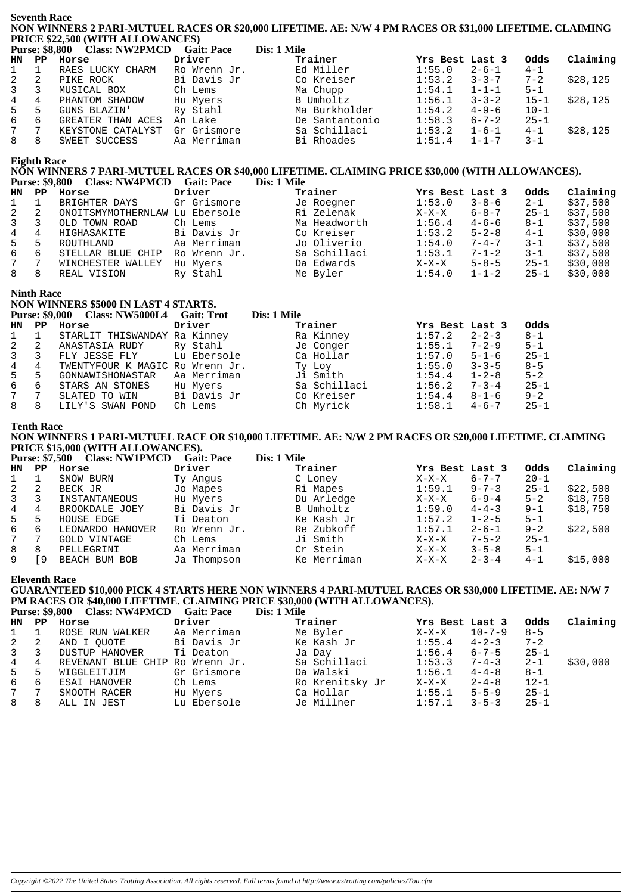**Seventh Race NON WINNERS 2 PARI-MUTUEL RACES OR \$20,000 LIFETIME. AE: N/W 4 PM RACES OR \$31,000 LIFETIME. CLAIMING PRICE \$22,500 (WITH ALLOWANCES)**

|              |    | Purse: \$8,800 Class: NW2PMCD | <b>Gait: Pace</b> | Dis: 1 Mile    |                 |             |          |          |
|--------------|----|-------------------------------|-------------------|----------------|-----------------|-------------|----------|----------|
| HN PP        |    | Horse                         | Driver            | Trainer        | Yrs Best Last 3 |             | Odds     | Claiming |
| $1 \quad$    |    | RAES LUCKY CHARM              | Ro Wrenn Jr.      | Ed Miller      | 1:55.0          | $2 - 6 - 1$ | $4 - 1$  |          |
| $\mathbf{2}$ | -2 | PIKE ROCK                     | Bi Davis Jr       | Co Kreiser     | 1:53.2          | $3 - 3 - 7$ | $7 - 2$  | \$28,125 |
| $3 \quad 3$  |    | MUSICAL BOX                   | Ch Lems           | Ma Chupp       | 1:54.1          | $1 - 1 - 1$ | $5 - 1$  |          |
| $4\degree$   | 4  | PHANTOM SHADOW                | Hu Myers          | B Umholtz      | 1:56.1          | $3 - 3 - 2$ | $15 - 1$ | \$28,125 |
| $5^{\circ}$  | 5  | GUNS BLAZIN'                  | Ry Stahl          | Ma Burkholder  | 1:54.2          | $4 - 9 - 6$ | $10 - 1$ |          |
| 6            | 6  | GREATER THAN ACES             | An Lake           | De Santantonio | 1:58.3          | $6 - 7 - 2$ | $25 - 1$ |          |
| 7            |    | KEYSTONE CATALYST             | Gr Grismore       | Sa Schillaci   | 1:53.2          | $1 - 6 - 1$ | $4 - 1$  | \$28,125 |
| 8            | 8  | SWEET SUCCESS                 | Aa Merriman       | Bi Rhoades     | 1:51.4          | $1 - 1 - 7$ | $3 - 1$  |          |

#### **Eighth Race**

# NON WINNERS 7 PARI-MUTUEL RACES OR \$40,000 LIFETIME. CLAIMING PRICE \$30,000 (WITH ALLOWANCES).<br>Purse: \$9,800 Class: NW4PMCD Gait: Pace Dis: 1 Mile **Purse: \$9,800 Class: NW4PMCD Gait: Pace**

| HN           | PP | Horse                          | Driver       | Trainer      | Yrs Best Last 3 |             | Odds     | Claiming |
|--------------|----|--------------------------------|--------------|--------------|-----------------|-------------|----------|----------|
| $\mathbf{1}$ |    | BRIGHTER DAYS                  | Gr Grismore  | Je Roegner   | 1:53.0          | $3 - 8 - 6$ | $2 - 1$  | \$37,500 |
| 2            |    | ONOITSMYMOTHERNLAW Lu Ebersole |              | Ri Zelenak   | $X-X-X$         | $6 - 8 - 7$ | $25 - 1$ | \$37,500 |
| 3            |    | OLD TOWN ROAD                  | Ch Lems      | Ma Headworth | 1:56.4          | $4 - 6 - 6$ | $8 - 1$  | \$37,500 |
| 4            | 4  | HIGHASAKITE                    | Bi Davis Jr  | Co Kreiser   | 1:53.2          | $5 - 2 - 8$ | $4 - 1$  | \$30,000 |
| 5            | 5  | ROUTHLAND                      | Aa Merriman  | Jo Oliverio  | 1:54.0          | $7 - 4 - 7$ | $3 - 1$  | \$37,500 |
| 6            | -6 | STELLAR BLUE CHIP              | Ro Wrenn Jr. | Sa Schillaci | 1:53.1          | $7 - 1 - 2$ | $3 - 1$  | \$37,500 |
| 7            |    | WINCHESTER WALLEY              | Hu Myers     | Da Edwards   | $X-X-X$         | $5 - 8 - 5$ | $25 - 1$ | \$30,000 |
| 8            | 8  | REAL VISION                    | Ry Stahl     | Me Byler     | 1:54.0          | $1 - 1 - 2$ | $25 - 1$ | \$30,000 |

### **Ninth Race**

| NON WINNERS \$5000 IN LAST 4 STARTS. |   |                                           |             |              |                       |          |  |  |  |  |
|--------------------------------------|---|-------------------------------------------|-------------|--------------|-----------------------|----------|--|--|--|--|
|                                      |   | Purse: \$9,000 Class: NW5000L4 Gait: Trot |             | Dis: 1 Mile  |                       |          |  |  |  |  |
| HN PP                                |   | Horse                                     | Driver      | Trainer      | Yrs Best Last 3       | Odds     |  |  |  |  |
| 1                                    |   | STARLIT THISWANDAY Ra Kinney              |             | Ra Kinney    | $2 - 2 - 3$<br>1:57.2 | $8 - 1$  |  |  |  |  |
| $2 \quad 2$                          |   | ANASTASIA RUDY Ry Stahl                   |             | Je Conger    | $1:55.1$ 7-2-9        | $5 - 1$  |  |  |  |  |
| 3 3                                  |   | FLY JESSE FLY Lu Ebersole                 |             | Ca Hollar    | $1:57.0$ $5-1-6$      | $25 - 1$ |  |  |  |  |
| $4\overline{ }$                      | 4 | TWENTYFOUR K MAGIC Ro Wrenn Jr.           |             | Ty Loy       | $1:55.0$ $3-3-5$      | $8 - 5$  |  |  |  |  |
| $5^{\circ}$                          | 5 | GONNAWISHONASTAR                          | Aa Merriman | Ji Smith     | $1:54.4$ $1-2-8$      | $5 - 2$  |  |  |  |  |
| 6                                    | 6 | STARS AN STONES                           | Hu Myers    | Sa Schillaci | $1:56.2$ 7-3-4        | $25 - 1$ |  |  |  |  |
| $7\degree$                           | 7 | SLATED TO WIN                             | Bi Davis Jr | Co Kreiser   | $1:54.4$ $8-1-6$      | $9 - 2$  |  |  |  |  |
| 8                                    | 8 | LILY'S SWAN POND                          | Ch Lems     | Ch Myrick    | 1:58.1<br>$4 - 6 - 7$ | $25 - 1$ |  |  |  |  |

#### **Tenth Race**

**NON WINNERS 1 PARI-MUTUEL RACE OR \$10,000 LIFETIME. AE: N/W 2 PM RACES OR \$20,000 LIFETIME. CLAIMING PRICE \$15,000 (WITH ALLOWANCES).**

|              | <b>Purse: \$7,500</b> | <b>Class: NW1PMCD</b> | <b>Gait: Pace</b> | Dis: 1 Mile |                 |             |          |          |
|--------------|-----------------------|-----------------------|-------------------|-------------|-----------------|-------------|----------|----------|
| HN .         | PP.                   | Horse                 | Driver            | Trainer     | Yrs Best Last 3 |             | Odds     | Claiming |
|              |                       | SNOW BURN             | Ty Angus          | C Loney     | $X-X-X$         | $6 - 7 - 7$ | $20 - 1$ |          |
| 2            | 2                     | BECK JR               | Jo Mapes          | Ri Mapes    | 1:59.1          | $9 - 7 - 3$ | $25 - 1$ | \$22,500 |
| $\mathbf{3}$ |                       | INSTANTANEOUS         | Hu Myers          | Du Arledge  | $X-X-X$         | $6 - 9 - 4$ | $5 - 2$  | \$18,750 |
| 4            | 4                     | BROOKDALE JOEY        | Bi Davis Jr       | B Umholtz   | 1:59.0          | $4 - 4 - 3$ | $9 - 1$  | \$18,750 |
| 5            | 5                     | HOUSE EDGE            | Ti Deaton         | Ke Kash Jr  | 1:57.2          | $1 - 2 - 5$ | $5 - 1$  |          |
| 6            | 6                     | LEONARDO HANOVER      | Ro Wrenn Jr.      | Re Zubkoff  | 1:57.1          | $2 - 6 - 1$ | $9 - 2$  | \$22,500 |
| 7            |                       | <b>GOLD VINTAGE</b>   | Ch Lems           | Ji Smith    | $X-X-X$         | $7 - 5 - 2$ | $25 - 1$ |          |
| 8            | 8                     | PELLEGRINI            | Aa Merriman       | Cr Stein    | $X-X-X$         | $3 - 5 - 8$ | $5 - 1$  |          |
| 9            | 9                     | BEACH BUM BOB         | Ja Thompson       | Ke Merriman | $X-X-X$         | $2 - 3 - 4$ | $4 - 1$  | \$15,000 |

**Eleventh Race**

# **GUARANTEED \$10,000 PICK 4 STARTS HERE NON WINNERS 4 PARI-MUTUEL RACES OR \$30,000 LIFETIME. AE: N/W 7 PM RACES OR \$40,000 LIFETIME. CLAIMING PRICE \$30,000 (WITH ALLOWANCES).**<br>Purse: \$9,800 Class: NW4PMCD Gait: Pace Dis: 1 Mile

Purse: \$9,800 Class: NW4PMCD Gait: Pace

| HN PP          |                | Horse                           | Driver      | Trainer         | Yrs Best Last 3 |              | Odds     | Claiming |
|----------------|----------------|---------------------------------|-------------|-----------------|-----------------|--------------|----------|----------|
| 1              |                | ROSE RUN WALKER                 | Aa Merriman | Me Byler        | $X-X-X$         | $10 - 7 - 9$ | $8 - 5$  |          |
| 2              | -2             | AND I OUOTE                     | Bi Davis Jr | Ke Kash Jr      | 1:55.4          | $4 - 2 - 3$  | $7 - 2$  |          |
| $\overline{3}$ | -3             | DUSTUP HANOVER                  | Ti Deaton   | Ja Day          | 1:56.4          | $6 - 7 - 5$  | $25 - 1$ |          |
| $\overline{4}$ | $\overline{4}$ | REVENANT BLUE CHIP Ro Wrenn Jr. |             | Sa Schillaci    | 1:53.3          | $7 - 4 - 3$  | $2 - 1$  | \$30,000 |
| 5              | -5             | WIGGLEITJIM                     | Gr Grismore | Da Walski       | 1:56.1          | $4 - 4 - 8$  | $8 - 1$  |          |
| 6              | 6              | ESAI HANOVER                    | Ch Lems     | Ro Krenitsky Jr | $X-X-X$         | $2 - 4 - 8$  | $12 - 1$ |          |
| 7              | $\overline{7}$ | SMOOTH RACER                    | Hu Myers    | Ca Hollar       | 1:55.1          | $5 - 5 - 9$  | $25 - 1$ |          |
| 8              | 8              | ALL IN JEST                     | Lu Ebersole | Je Millner      | 1:57.1          | $3 - 5 - 3$  | $25 - 1$ |          |